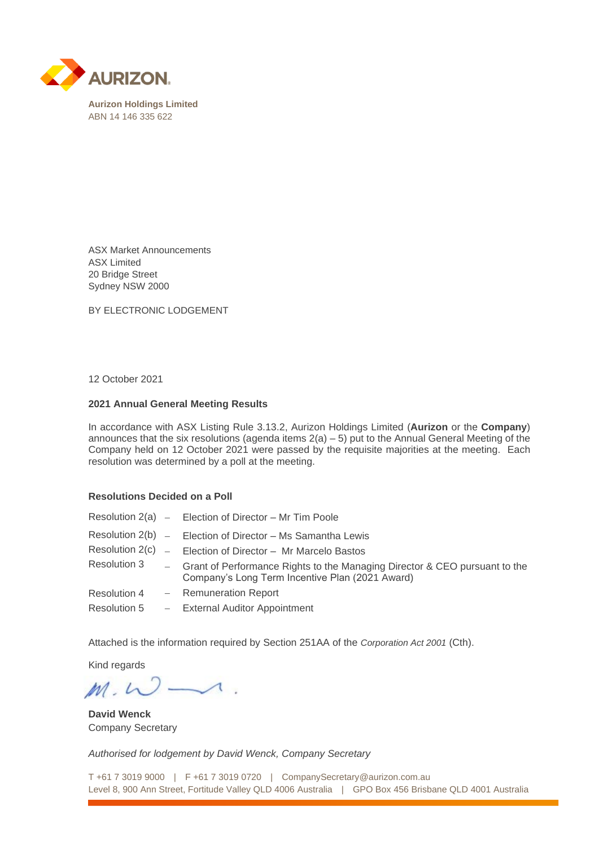

ASX Market Announcements ASX Limited 20 Bridge Street Sydney NSW 2000

BY ELECTRONIC LODGEMENT

## 12 October 2021

## **2021 Annual General Meeting Results**

In accordance with ASX Listing Rule 3.13.2, Aurizon Holdings Limited (**Aurizon** or the **Company**) announces that the six resolutions (agenda items  $2(a) - 5$ ) put to the Annual General Meeting of the Company held on 12 October 2021 were passed by the requisite majorities at the meeting. Each resolution was determined by a poll at the meeting.

## **Resolutions Decided on a Poll**

|                 | Resolution $2(a)$ – Election of Director – Mr Tim Poole                                                                         |
|-----------------|---------------------------------------------------------------------------------------------------------------------------------|
| Resolution 2(b) | - Election of Director - Ms Samantha Lewis                                                                                      |
| Resolution 2(c) | - Election of Director - Mr Marcelo Bastos                                                                                      |
| Resolution 3    | - Grant of Performance Rights to the Managing Director & CEO pursuant to the<br>Company's Long Term Incentive Plan (2021 Award) |
| Resolution 4    | - Remuneration Report                                                                                                           |
| Resolution 5    | - External Auditor Appointment                                                                                                  |

Attached is the information required by Section 251AA of the *Corporation Act 2001* (Cth).

Kind regards

 $M.W.$ 

**David Wenck** Company Secretary

*Authorised for lodgement by David Wenck, Company Secretary*

T +61 7 3019 9000 | F +61 7 3019 0720 | CompanySecretary@aurizon.com.au Level 8, 900 Ann Street, Fortitude Valley QLD 4006 Australia | GPO Box 456 Brisbane QLD 4001 Australia